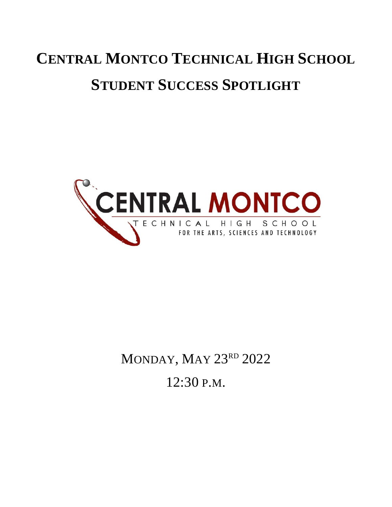# **CENTRAL MONTCO TECHNICAL HIGH SCHOOL STUDENT SUCCESS SPOTLIGHT**



MONDAY, MAY 23RD 2022 12:30 P.M.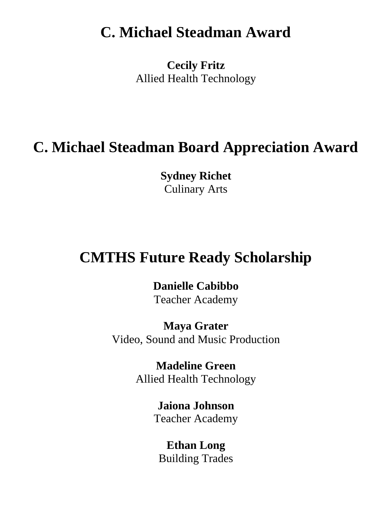## **C. Michael Steadman Award**

**Cecily Fritz** Allied Health Technology

### **C. Michael Steadman Board Appreciation Award**

**Sydney Richet** Culinary Arts

### **CMTHS Future Ready Scholarship**

**Danielle Cabibbo**

Teacher Academy

**Maya Grater** Video, Sound and Music Production

> **Madeline Green** Allied Health Technology

> > **Jaiona Johnson** Teacher Academy

**Ethan Long** Building Trades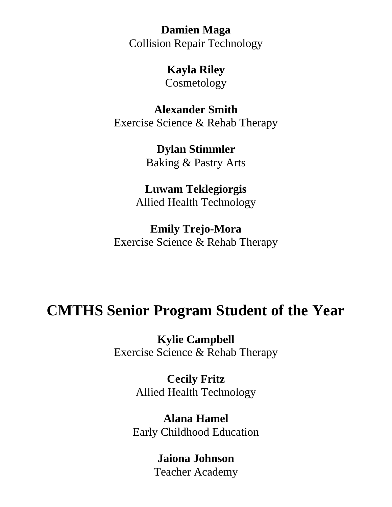**Damien Maga** Collision Repair Technology

**Kayla Riley**

Cosmetology

**Alexander Smith** Exercise Science & Rehab Therapy

> **Dylan Stimmler** Baking & Pastry Arts

**Luwam Teklegiorgis** Allied Health Technology

**Emily Trejo-Mora** Exercise Science & Rehab Therapy

### **CMTHS Senior Program Student of the Year**

**Kylie Campbell** Exercise Science & Rehab Therapy

> **Cecily Fritz** Allied Health Technology

**Alana Hamel** Early Childhood Education

> **Jaiona Johnson** Teacher Academy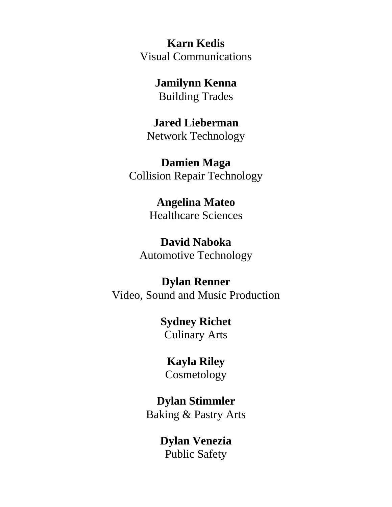**Karn Kedis** Visual Communications

> **Jamilynn Kenna** Building Trades

**Jared Lieberman** Network Technology

**Damien Maga** Collision Repair Technology

> **Angelina Mateo** Healthcare Sciences

**David Naboka** Automotive Technology

**Dylan Renner** Video, Sound and Music Production

> **Sydney Richet** Culinary Arts

**Kayla Riley** Cosmetology

**Dylan Stimmler**

Baking & Pastry Arts

**Dylan Venezia** Public Safety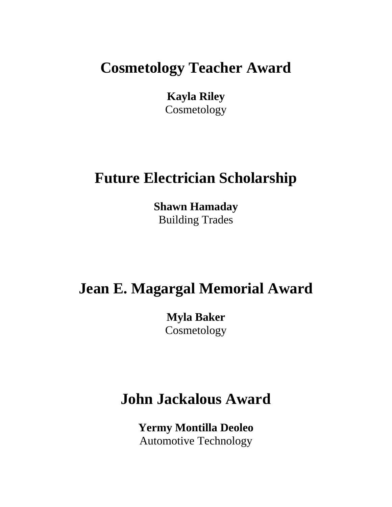## **Cosmetology Teacher Award**

**Kayla Riley** Cosmetology

## **Future Electrician Scholarship**

**Shawn Hamaday** Building Trades

### **Jean E. Magargal Memorial Award**

**Myla Baker** Cosmetology

# **John Jackalous Award**

**Yermy Montilla Deoleo** Automotive Technology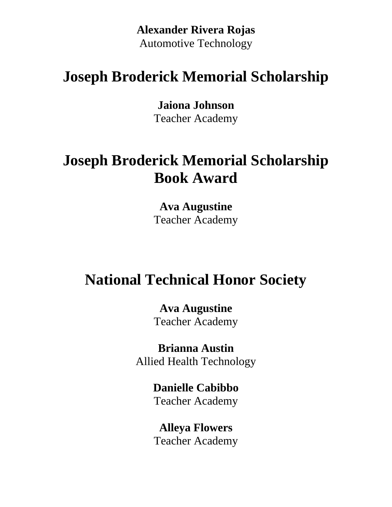**Alexander Rivera Rojas** Automotive Technology

# **Joseph Broderick Memorial Scholarship**

**Jaiona Johnson**

Teacher Academy

# **Joseph Broderick Memorial Scholarship Book Award**

**Ava Augustine** Teacher Academy

# **National Technical Honor Society**

**Ava Augustine** Teacher Academy

**Brianna Austin** Allied Health Technology

#### **Danielle Cabibbo** Teacher Academy

**Alleya Flowers** Teacher Academy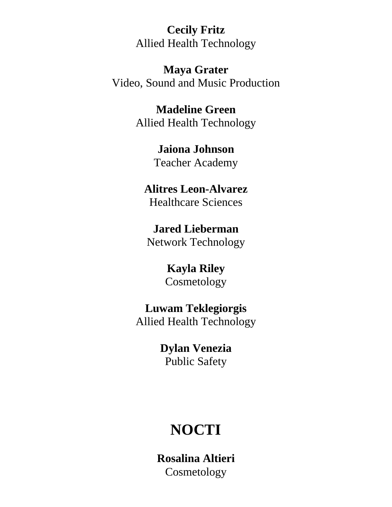**Cecily Fritz** Allied Health Technology

**Maya Grater** Video, Sound and Music Production

> **Madeline Green** Allied Health Technology

> > **Jaiona Johnson** Teacher Academy

**Alitres Leon-Alvarez** Healthcare Sciences

**Jared Lieberman** Network Technology

> **Kayla Riley** Cosmetology

**Luwam Teklegiorgis** Allied Health Technology

> **Dylan Venezia** Public Safety

# **NOCTI**

**Rosalina Altieri Cosmetology**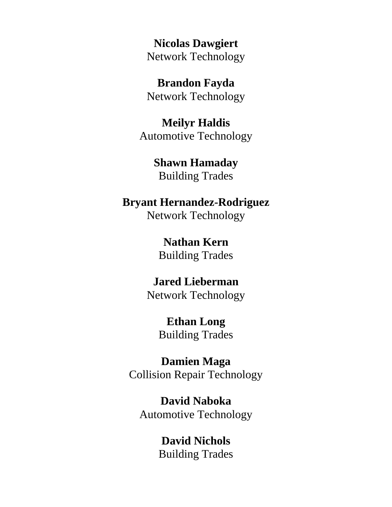**Nicolas Dawgiert** Network Technology

**Brandon Fayda** Network Technology

**Meilyr Haldis** Automotive Technology

> **Shawn Hamaday** Building Trades

### **Bryant Hernandez-Rodriguez**

Network Technology

**Nathan Kern**  Building Trades

# **Jared Lieberman**

Network Technology

#### **Ethan Long** Building Trades

**Damien Maga** Collision Repair Technology

**David Naboka** Automotive Technology

#### **David Nichols** Building Trades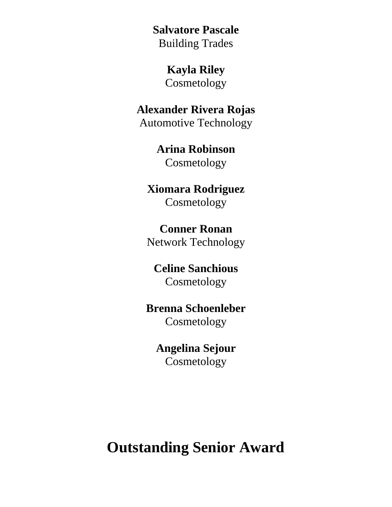**Salvatore Pascale** Building Trades

**Kayla Riley**

Cosmetology

**Alexander Rivera Rojas** Automotive Technology

> **Arina Robinson** Cosmetology

**Xiomara Rodriguez** Cosmetology

**Conner Ronan** Network Technology

**Celine Sanchious** Cosmetology

**Brenna Schoenleber** Cosmetology

**Angelina Sejour** Cosmetology

**Outstanding Senior Award**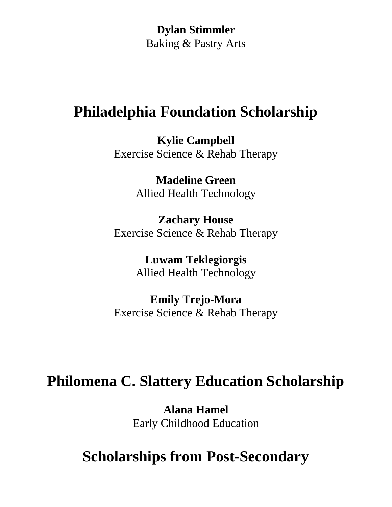**Dylan Stimmler** Baking & Pastry Arts

### **Philadelphia Foundation Scholarship**

**Kylie Campbell** Exercise Science & Rehab Therapy

> **Madeline Green** Allied Health Technology

**Zachary House** Exercise Science & Rehab Therapy

> **Luwam Teklegiorgis** Allied Health Technology

**Emily Trejo-Mora** Exercise Science & Rehab Therapy

## **Philomena C. Slattery Education Scholarship**

**Alana Hamel** Early Childhood Education

# **Scholarships from Post-Secondary**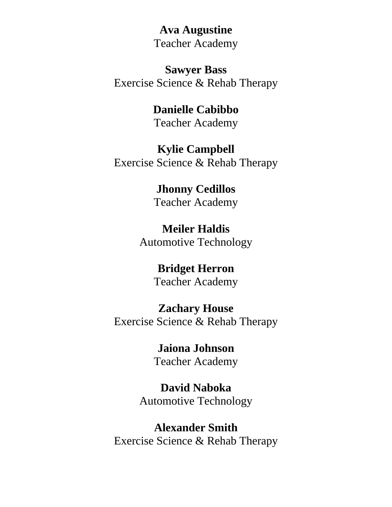**Ava Augustine** Teacher Academy

**Sawyer Bass** Exercise Science & Rehab Therapy

### **Danielle Cabibbo**

Teacher Academy

#### **Kylie Campbell**

Exercise Science & Rehab Therapy

#### **Jhonny Cedillos** Teacher Academy

### **Meiler Haldis**

Automotive Technology

### **Bridget Herron**

Teacher Academy

#### **Zachary House**

Exercise Science & Rehab Therapy

#### **Jaiona Johnson** Teacher Academy

**David Naboka**

Automotive Technology

#### **Alexander Smith** Exercise Science & Rehab Therapy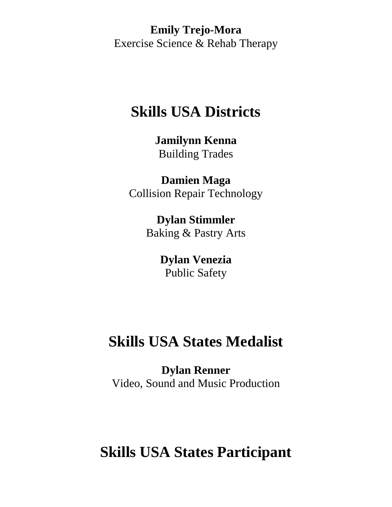**Emily Trejo-Mora** Exercise Science & Rehab Therapy

### **Skills USA Districts**

**Jamilynn Kenna** Building Trades

**Damien Maga** Collision Repair Technology

> **Dylan Stimmler** Baking & Pastry Arts

> > **Dylan Venezia** Public Safety

# **Skills USA States Medalist**

**Dylan Renner** Video, Sound and Music Production

## **Skills USA States Participant**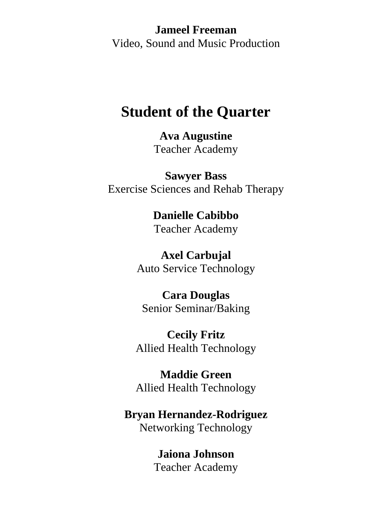**Jameel Freeman** Video, Sound and Music Production

### **Student of the Quarter**

**Ava Augustine** Teacher Academy

**Sawyer Bass** Exercise Sciences and Rehab Therapy

# **Danielle Cabibbo**

Teacher Academy

#### **Axel Carbujal**

Auto Service Technology

#### **Cara Douglas**

Senior Seminar/Baking

**Cecily Fritz** Allied Health Technology

**Maddie Green** Allied Health Technology

#### **Bryan Hernandez-Rodriguez** Networking Technology

**Jaiona Johnson** Teacher Academy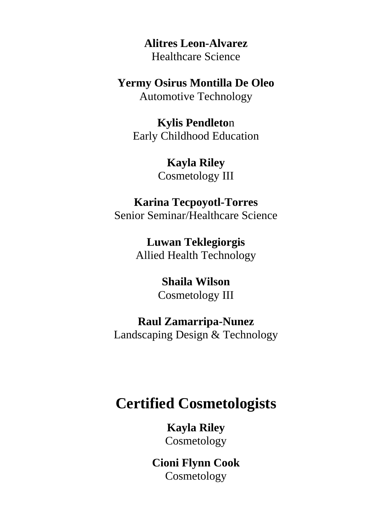**Alitres Leon-Alvarez** Healthcare Science

**Yermy Osirus Montilla De Oleo** Automotive Technology

**Kylis Pendleto**n Early Childhood Education

> **Kayla Riley** Cosmetology III

#### **Karina Tecpoyotl-Torres**

Senior Seminar/Healthcare Science

**Luwan Teklegiorgis** Allied Health Technology

#### **Shaila Wilson** Cosmetology III

#### **Raul Zamarripa-Nunez**

Landscaping Design & Technology

### **Certified Cosmetologists**

**Kayla Riley** Cosmetology

**Cioni Flynn Cook** Cosmetology